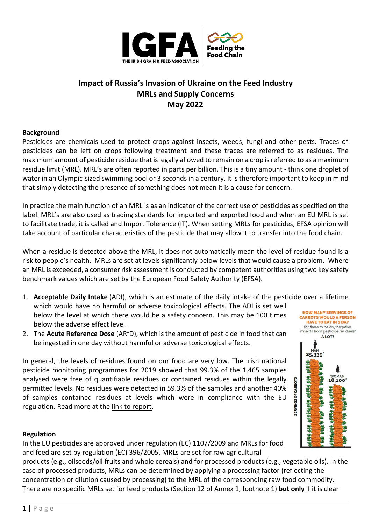

# **Impact of Russia's Invasion of Ukraine on the Feed Industry MRLs and Supply Concerns May 2022**

### **Background**

Pesticides are chemicals used to protect crops against insects, weeds, fungi and other pests. Traces of pesticides can be left on crops following treatment and these traces are referred to as residues. The maximum amount of pesticide residue that is legally allowed to remain on a crop is referred to as a maximum residue limit (MRL). MRL's are often reported in parts per billion. This is a tiny amount - think one droplet of water in an Olympic-sized swimming pool or 3 seconds in a century. It is therefore important to keep in mind that simply detecting the presence of something does not mean it is a cause for concern.

In practice the main function of an MRL is as an indicator of the correct use of pesticides as specified on the label. MRL's are also used as trading standards for imported and exported food and when an EU MRL is set to facilitate trade, it is called and Import Tolerance (IT). When setting MRLs for pesticides, EFSA opinion will take account of particular characteristics of the pesticide that may allow it to transfer into the food chain.

When a residue is detected above the MRL, it does not automatically mean the level of residue found is a risk to people's health. MRLs are set at levels significantly below levels that would cause a problem. Where an MRL is exceeded, a consumer risk assessment is conducted by competent authorities using two key safety benchmark values which are set by the European Food Safety Authority [\(EFSA\)](http://www.efsa.europa.eu/).

1. **Acceptable Daily Intake** (ADI), which is an estimate of the daily intake of the pesticide over a lifetime

HOW MANY SERVINGS OF **CARROTS WOULD A PERSON HAVE TO EAT IN 1 DAY** for there to be any negative<br>impacts from pesticide residues? A LOT!

> WOMAN 18,100

HacH alWe eve

1 25,339

**ROAN** 

afflafft, affle est.

**1998 000.** 

**SERVINGS OF CARROTS** 

- which would have no harmful or adverse toxicological effects. The ADI is set well below the level at which there would be a safety concern. This may be 100 times below the adverse effect level.
- 2. The **Acute Reference Dose** (ARfD), which is the amount of pesticide in food that can be ingested in one day without harmful or adverse toxicological effects.

In general, the levels of residues found on our food are very low. The Irish national pesticide monitoring programmes for 2019 showed that 99.3% of the 1,465 samples analysed were free of quantifiable residues or contained residues within the legally permitted levels. No residues were detected in 59.3% of the samples and another 40% of samples contained residues at levels which were in compliance with the EU regulation. Read more at the [link to report.](https://www.pcs.agriculture.gov.ie/foodsafety/themonitoringandcontrolsprogramme/annualreports-pesticideresiduesinfood/)

#### **Regulation**

In the EU pesticides are approved under regulation (EC) 1107/2009 and MRLs for food and feed are set by regulation (EC) 396/2005. MRLs are set for raw agricultural

products (e.g., oilseeds/oil fruits and whole cereals) and for processed products (e.g., vegetable oils). In the case of processed products, MRLs can be determined by applying a processing factor (reflecting the concentration or dilution caused by processing) to the MRL of the corresponding raw food commodity. There are no specific MRLs set for feed products (Section 12 of Annex 1, footnote 1) **but only** if it is clear